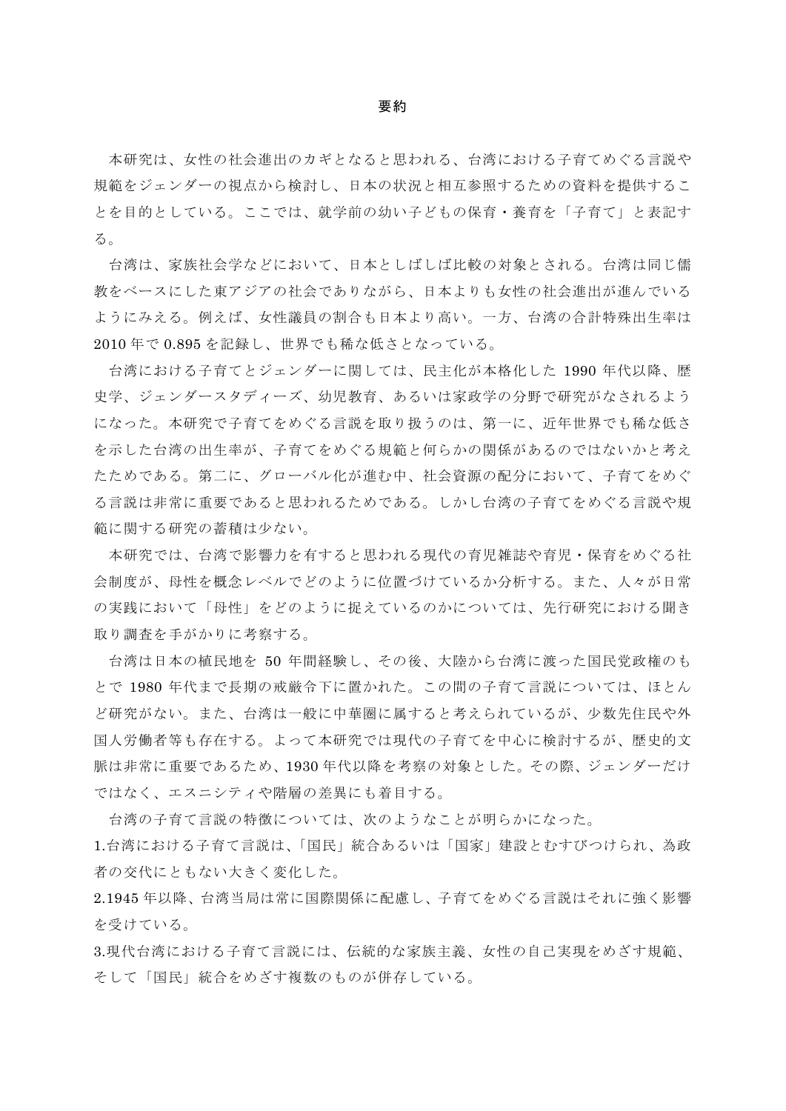## 要約

本研究は、女性の社会進出のカギとなると思われる、台湾における子育てめぐる言説や 規範をジェンダーの視点から検討し、日本の状況と相互参照するための資料を提供するこ とを目的としている。ここでは、就学前の幼い子どもの保育・養育を「子育て」と表記す る。

台湾は、家族社会学などにおいて、日本としばしば比較の対象とされる。台湾は同じ儒 教をベースにした東アジアの社会でありながら、日本よりも女性の社会進出が進んでいる ようにみえる。例えば、女性議員の割合も日本より高い。一方、台湾の合計特殊出生率は 2010 年で 0.895 を記録し、世界でも稀な低さとなっている。

台湾における子育てとジェンダーに関しては、民主化が本格化した 1990 年代以降、歴 史学、ジェンダースタディーズ、幼児教育、あるいは家政学の分野で研究がなされるよう になった。本研究で子育てをめぐる言説を取り扱うのは、第一に、近年世界でも稀な低さ を示した台湾の出生率が、子育てをめぐる規範と何らかの関係があるのではないかと考え たためである。第二に、グローバル化が進む中、社会資源の配分において、子育てをめぐ る言説は非常に重要であると思われるためである。しかし台湾の子育てをめぐる言説や規 範に関する研究の蓄積は少ない。

本研究では、台湾で影響力を有すると思われる現代の育児雑誌や育児・保育をめぐる社 会制度が、母性を概念レベルでどのように位置づけているか分析する。また、人々が日常 の実践において「母性」をどのように捉えているのかについては、先行研究における聞き 取り調査を手がかりに考察する。

台湾は日本の植民地を 50 年間経験し、その後、大陸から台湾に渡った国民党政権のも とで 1980 年代まで長期の戒厳令下に置かれた。この間の子育て言説については、ほとん ど研究がない。また、台湾は一般に中華圏に属すると考えられているが、少数先住民や外 国人労働者等も存在する。よって本研究では現代の子育てを中心に検討するが、歴史的文 脈は非常に重要であるため、1930 年代以降を考察の対象とした。その際、ジェンダーだけ ではなく、エスニシティや階層の差異にも着目する。

台湾の子育て言説の特徴については、次のようなことが明らかになった。

1.台湾における子育て言説は、「国民」統合あるいは「国家」建設とむすびつけられ、為政 者の交代にともない大きく変化した。

2.1945 年以降、台湾当局は常に国際関係に配慮し、子育てをめぐる言説はそれに強く影響 を受けている。

3.現代台湾における子育て言説には、伝統的な家族主義、女性の自己実現をめざす規範、 そして「国民」統合をめざす複数のものが併存している。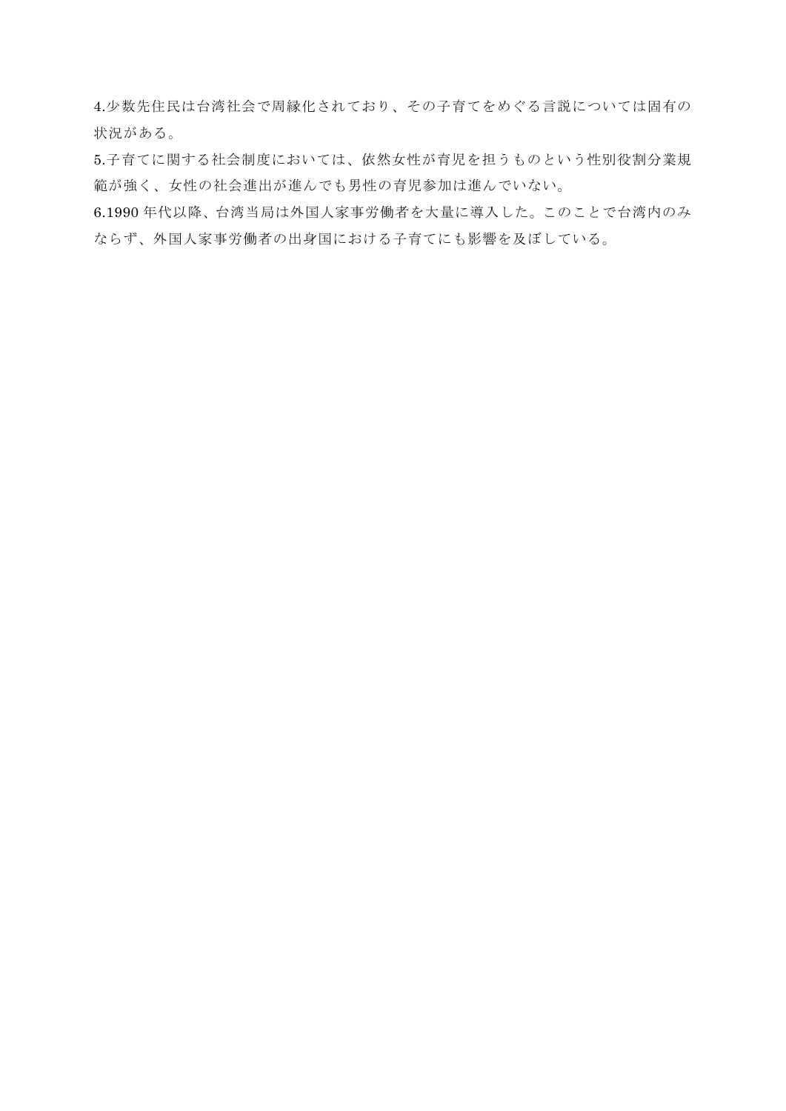4.少数先住民は台湾社会で周縁化されており、その子育てをめぐる言説については固有の 状況がある。

5.子育てに関する社会制度においては、依然女性が育児を担うものという性別役割分業規 範が強く、女性の社会進出が進んでも男性の育児参加は進んでいない。

6.1990 年代以降、台湾当局は外国人家事労働者を大量に導入した。このことで台湾内のみ ならず、外国人家事労働者の出身国における子育てにも影響を及ぼしている。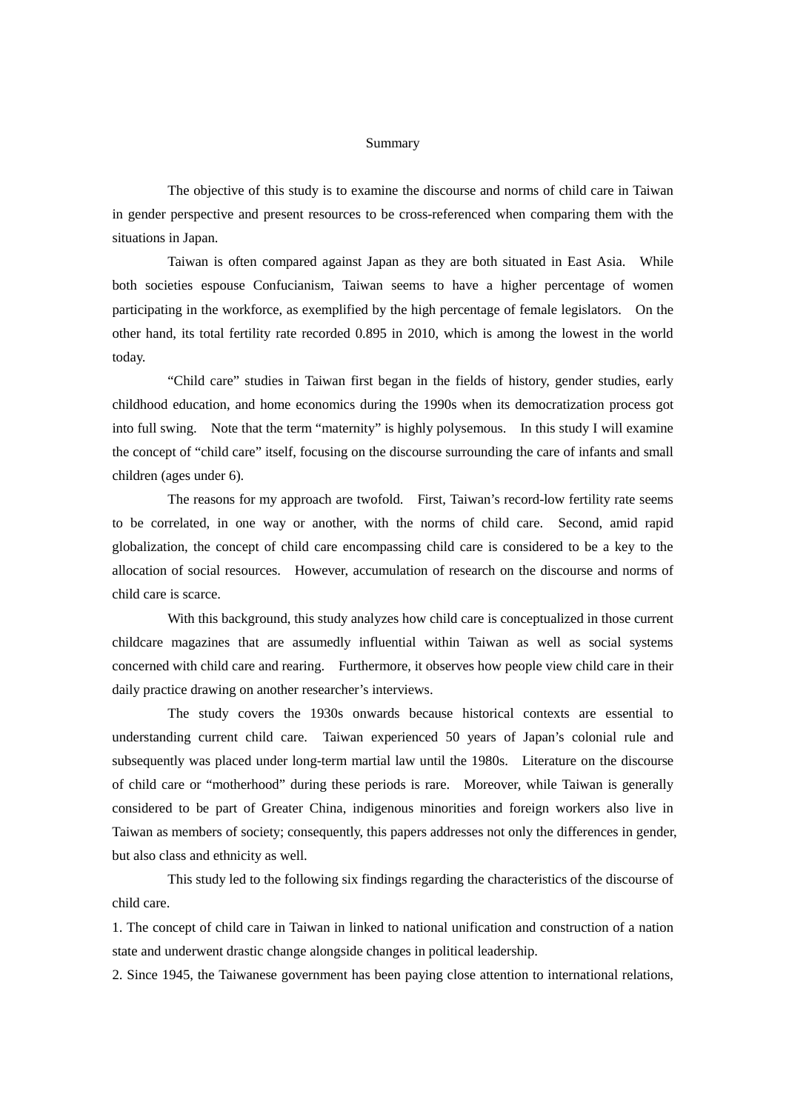## Summary

The objective of this study is to examine the discourse and norms of child care in Taiwan in gender perspective and present resources to be cross-referenced when comparing them with the situations in Japan.

Taiwan is often compared against Japan as they are both situated in East Asia. While both societies espouse Confucianism, Taiwan seems to have a higher percentage of women participating in the workforce, as exemplified by the high percentage of female legislators. On the other hand, its total fertility rate recorded 0.895 in 2010, which is among the lowest in the world today.

"Child care" studies in Taiwan first began in the fields of history, gender studies, early childhood education, and home economics during the 1990s when its democratization process got into full swing. Note that the term "maternity" is highly polysemous. In this study I will examine the concept of "child care" itself, focusing on the discourse surrounding the care of infants and small children (ages under 6).

The reasons for my approach are twofold. First, Taiwan's record-low fertility rate seems to be correlated, in one way or another, with the norms of child care. Second, amid rapid globalization, the concept of child care encompassing child care is considered to be a key to the allocation of social resources. However, accumulation of research on the discourse and norms of child care is scarce.

With this background, this study analyzes how child care is conceptualized in those current childcare magazines that are assumedly influential within Taiwan as well as social systems concerned with child care and rearing. Furthermore, it observes how people view child care in their daily practice drawing on another researcher's interviews.

The study covers the 1930s onwards because historical contexts are essential to understanding current child care. Taiwan experienced 50 years of Japan's colonial rule and subsequently was placed under long-term martial law until the 1980s. Literature on the discourse of child care or "motherhood" during these periods is rare. Moreover, while Taiwan is generally considered to be part of Greater China, indigenous minorities and foreign workers also live in Taiwan as members of society; consequently, this papers addresses not only the differences in gender, but also class and ethnicity as well.

This study led to the following six findings regarding the characteristics of the discourse of child care.

1. The concept of child care in Taiwan in linked to national unification and construction of a nation state and underwent drastic change alongside changes in political leadership.

2. Since 1945, the Taiwanese government has been paying close attention to international relations,